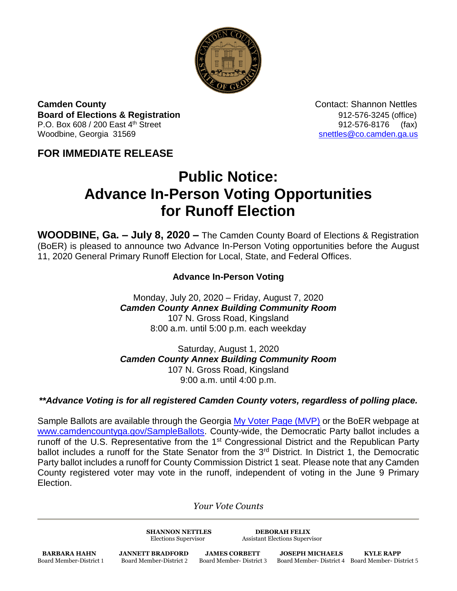

**Camden County Contact: Shannon Nettles Board of Elections & Registration** 8. **Board of Elections & Registration** P.O. Box 608 / 200 East 4<sup>th</sup> Street 912-576-8176 (fax) Woodbine, Georgia 31569 [snettles@co.camden.ga.us](mailto:snettles@co.camden.ga.us)

## **FOR IMMEDIATE RELEASE**

## **Public Notice: Advance In-Person Voting Opportunities for Runoff Election**

**WOODBINE, Ga. – July 8, 2020 –** The Camden County Board of Elections & Registration (BoER) is pleased to announce two Advance In-Person Voting opportunities before the August 11, 2020 General Primary Runoff Election for Local, State, and Federal Offices.

## **Advance In-Person Voting**

Monday, July 20, 2020 – Friday, August 7, 2020 *Camden County Annex Building Community Room* 107 N. Gross Road, Kingsland 8:00 a.m. until 5:00 p.m. each weekday

Saturday, August 1, 2020 *Camden County Annex Building Community Room* 107 N. Gross Road, Kingsland 9:00 a.m. until 4:00 p.m.

## *\*\*Advance Voting is for all registered Camden County voters, regardless of polling place.*

Sample Ballots are available through the Georgia [My Voter Page \(MVP\)](https://www.mvp.sos.ga.gov/) or the BoER webpage at [www.camdencountyga.gov/SampleBallots.](http://www.camdencountyga.gov/SampleBallots) County-wide, the Democratic Party ballot includes a runoff of the U.S. Representative from the 1<sup>st</sup> Congressional District and the Republican Party ballot includes a runoff for the State Senator from the 3<sup>rd</sup> District. In District 1, the Democratic Party ballot includes a runoff for County Commission District 1 seat. Please note that any Camden County registered voter may vote in the runoff, independent of voting in the June 9 Primary Election.

*Your Vote Counts*

**SHANNON NETTLES DEBORAH FELIX**

Elections Supervisor Assistant Elections Supervisor

**BARBARA HAHN JANNETT BRADFORD JAMES CORBETT JOSEPH MICHAELS KYLE RAPP**<br>Board Member-District 1 Board Member-District 2 Board Member-District 3 Board Member-District 4 Board Member-Dis

Board Member-District 4 Board Member- District 5